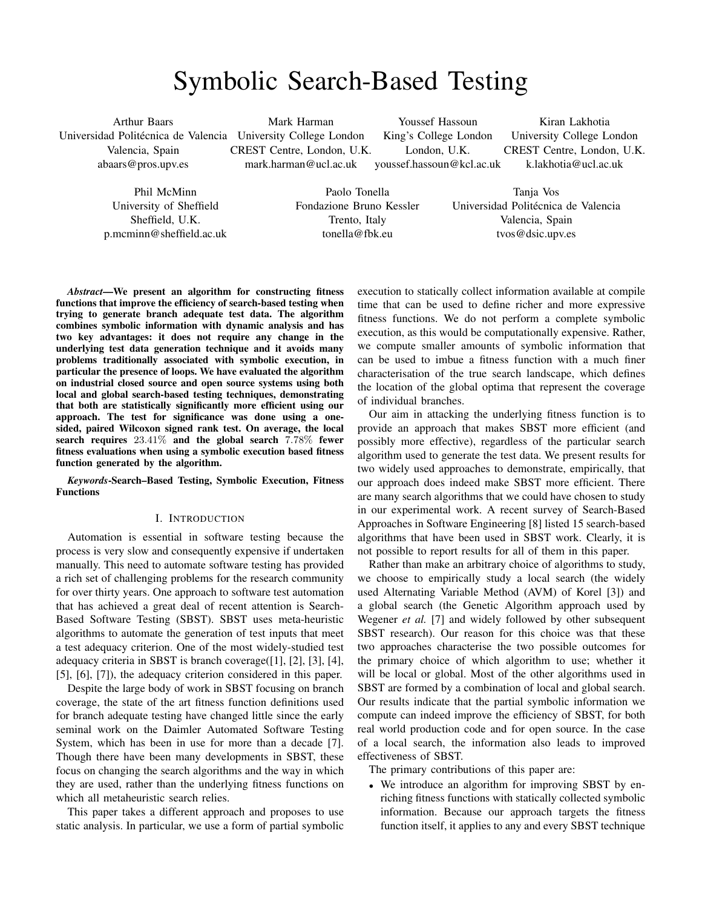# Symbolic Search-Based Testing

Arthur Baars Universidad Politécnica de Valencia University College London Valencia, Spain abaars@pros.upv.es

> Phil McMinn University of Sheffield Sheffield, U.K. p.mcminn@sheffield.ac.uk

Mark Harman CREST Centre, London, U.K. mark.harman@ucl.ac.uk

Youssef Hassoun King's College London London, U.K. youssef.hassoun@kcl.ac.uk

Kiran Lakhotia University College London CREST Centre, London, U.K. k.lakhotia@ucl.ac.uk

Paolo Tonella Fondazione Bruno Kessler Trento, Italy tonella@fbk.eu

Tanja Vos Universidad Politécnica de Valencia Valencia, Spain tvos@dsic.upv.es

*Abstract*—We present an algorithm for constructing fitness functions that improve the efficiency of search-based testing when trying to generate branch adequate test data. The algorithm combines symbolic information with dynamic analysis and has two key advantages: it does not require any change in the underlying test data generation technique and it avoids many problems traditionally associated with symbolic execution, in particular the presence of loops. We have evaluated the algorithm on industrial closed source and open source systems using both local and global search-based testing techniques, demonstrating that both are statistically significantly more efficient using our approach. The test for significance was done using a onesided, paired Wilcoxon signed rank test. On average, the local search requires 23.41% and the global search 7.78% fewer fitness evaluations when using a symbolic execution based fitness function generated by the algorithm.

*Keywords*-Search–Based Testing, Symbolic Execution, Fitness Functions

#### I. INTRODUCTION

Automation is essential in software testing because the process is very slow and consequently expensive if undertaken manually. This need to automate software testing has provided a rich set of challenging problems for the research community for over thirty years. One approach to software test automation that has achieved a great deal of recent attention is Search-Based Software Testing (SBST). SBST uses meta-heuristic algorithms to automate the generation of test inputs that meet a test adequacy criterion. One of the most widely-studied test adequacy criteria in SBST is branch coverage([1], [2], [3], [4], [5], [6], [7]), the adequacy criterion considered in this paper.

Despite the large body of work in SBST focusing on branch coverage, the state of the art fitness function definitions used for branch adequate testing have changed little since the early seminal work on the Daimler Automated Software Testing System, which has been in use for more than a decade [7]. Though there have been many developments in SBST, these focus on changing the search algorithms and the way in which they are used, rather than the underlying fitness functions on which all metaheuristic search relies.

This paper takes a different approach and proposes to use static analysis. In particular, we use a form of partial symbolic execution to statically collect information available at compile time that can be used to define richer and more expressive fitness functions. We do not perform a complete symbolic execution, as this would be computationally expensive. Rather, we compute smaller amounts of symbolic information that can be used to imbue a fitness function with a much finer characterisation of the true search landscape, which defines the location of the global optima that represent the coverage of individual branches.

Our aim in attacking the underlying fitness function is to provide an approach that makes SBST more efficient (and possibly more effective), regardless of the particular search algorithm used to generate the test data. We present results for two widely used approaches to demonstrate, empirically, that our approach does indeed make SBST more efficient. There are many search algorithms that we could have chosen to study in our experimental work. A recent survey of Search-Based Approaches in Software Engineering [8] listed 15 search-based algorithms that have been used in SBST work. Clearly, it is not possible to report results for all of them in this paper.

Rather than make an arbitrary choice of algorithms to study, we choose to empirically study a local search (the widely used Alternating Variable Method (AVM) of Korel [3]) and a global search (the Genetic Algorithm approach used by Wegener *et al.* [7] and widely followed by other subsequent SBST research). Our reason for this choice was that these two approaches characterise the two possible outcomes for the primary choice of which algorithm to use; whether it will be local or global. Most of the other algorithms used in SBST are formed by a combination of local and global search. Our results indicate that the partial symbolic information we compute can indeed improve the efficiency of SBST, for both real world production code and for open source. In the case of a local search, the information also leads to improved effectiveness of SBST.

The primary contributions of this paper are:

• We introduce an algorithm for improving SBST by enriching fitness functions with statically collected symbolic information. Because our approach targets the fitness function itself, it applies to any and every SBST technique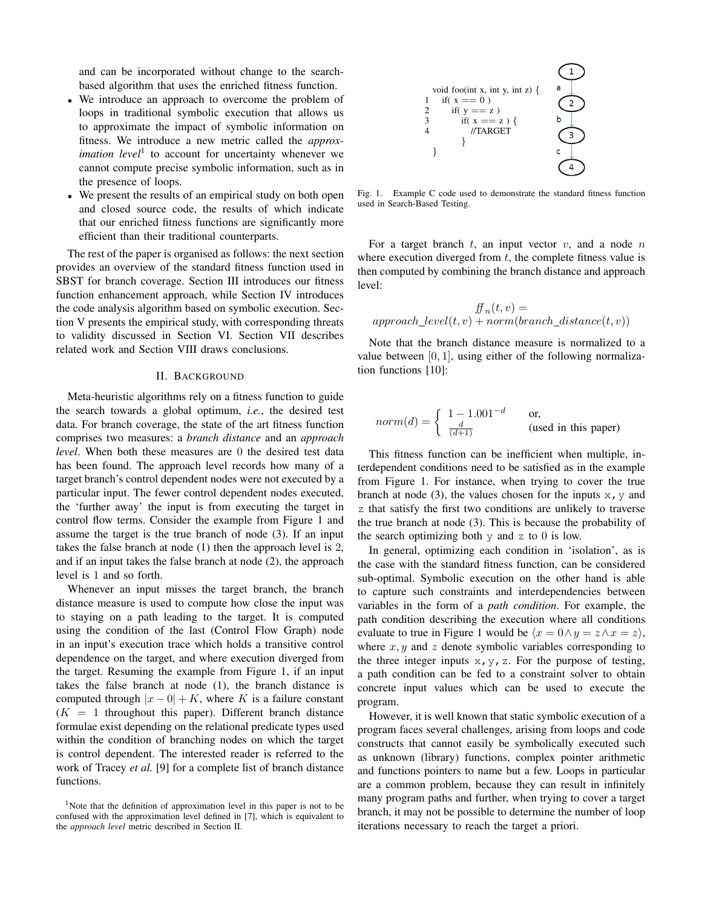and can be incorporated without change to the searchbased algorithm that uses the enriched fitness function.

- We introduce an approach to overcome the problem of loops in traditional symbolic execution that allows us to approximate the impact of symbolic information on fitness. We introduce a new metric called the *approx*imation level<sup>1</sup> to account for uncertainty whenever we cannot compute precise symbolic information, such as in the presence of loops.
- We present the results of an empirical study on both open and closed source code, the results of which indicate that our enriched fitness functions are significantly more efficient than their traditional counterparts.

The rest of the paper is organised as follows: the next section provides an overview of the standard fitness function used in SBST for branch coverage. Section III introduces our fitness function enhancement approach, while Section IV introduces the code analysis algorithm based on symbolic execution. Section V presents the empirical study, with corresponding threats to validity discussed in Section VI. Section VII describes related work and Section VIII draws conclusions.

# II. BACKGROUND

Meta-heuristic algorithms rely on a fitness function to guide the search towards a global optimum, *i.e.*, the desired test data. For branch coverage, the state of the art fitness function comprises two measures: a *branch distance* and an *approach level*. When both these measures are 0 the desired test data has been found. The approach level records how many of a target branch's control dependent nodes were not executed by a particular input. The fewer control dependent nodes executed, the 'further away' the input is from executing the target in control flow terms. Consider the example from Figure 1 and assume the target is the true branch of node (3). If an input takes the false branch at node (1) then the approach level is 2, and if an input takes the false branch at node (2), the approach level is 1 and so forth.

Whenever an input misses the target branch, the branch distance measure is used to compute how close the input was to staying on a path leading to the target. It is computed using the condition of the last (Control Flow Graph) node in an input's execution trace which holds a transitive control dependence on the target, and where execution diverged from the target. Resuming the example from Figure 1, if an input takes the false branch at node (1), the branch distance is computed through  $|x-0|+K$ , where K is a failure constant  $(K = 1)$  throughout this paper). Different branch distance formulae exist depending on the relational predicate types used within the condition of branching nodes on which the target is control dependent. The interested reader is referred to the work of Tracey *et al.* [9] for a complete list of branch distance functions.



Fig. 1. Example C code used to demonstrate the standard fitness function used in Search-Based Testing.

For a target branch  $t$ , an input vector  $v$ , and a node  $n$ where execution diverged from  $t$ , the complete fitness value is then computed by combining the branch distance and approach level:

$$
ff_n(t, v) =
$$
  
approach<sub>\_\_level</sub> $(t, v) + norm(branch_distance(t, v))$ 

Note that the branch distance measure is normalized to a value between  $[0, 1]$ , using either of the following normalization functions [10]:

$$
norm(d) = \begin{cases} 1 - 1.001^{-d} & \text{or,} \\ \frac{d}{(d+1)} & \text{(used in this paper)} \end{cases}
$$

This fitness function can be inefficient when multiple, interdependent conditions need to be satisfied as in the example from Figure 1. For instance, when trying to cover the true branch at node (3), the values chosen for the inputs  $x, y$  and z that satisfy the first two conditions are unlikely to traverse the true branch at node (3). This is because the probability of the search optimizing both  $y$  and  $z$  to 0 is low.

In general, optimizing each condition in 'isolation', as is the case with the standard fitness function, can be considered sub-optimal. Symbolic execution on the other hand is able to capture such constraints and interdependencies between variables in the form of a *path condition*. For example, the path condition describing the execution where all conditions evaluate to true in Figure 1 would be  $\langle x = 0 \wedge y = z \wedge x = z \rangle$ , where  $x, y$  and z denote symbolic variables corresponding to the three integer inputs  $x, y, z$ . For the purpose of testing, a path condition can be fed to a constraint solver to obtain concrete input values which can be used to execute the program.

However, it is well known that static symbolic execution of a program faces several challenges, arising from loops and code constructs that cannot easily be symbolically executed such as unknown (library) functions, complex pointer arithmetic and functions pointers to name but a few. Loops in particular are a common problem, because they can result in infinitely many program paths and further, when trying to cover a target branch, it may not be possible to determine the number of loop iterations necessary to reach the target a priori.

<sup>&</sup>lt;sup>1</sup>Note that the definition of approximation level in this paper is not to be confused with the approximation level defined in [7], which is equivalent to the *approach level* metric described in Section II.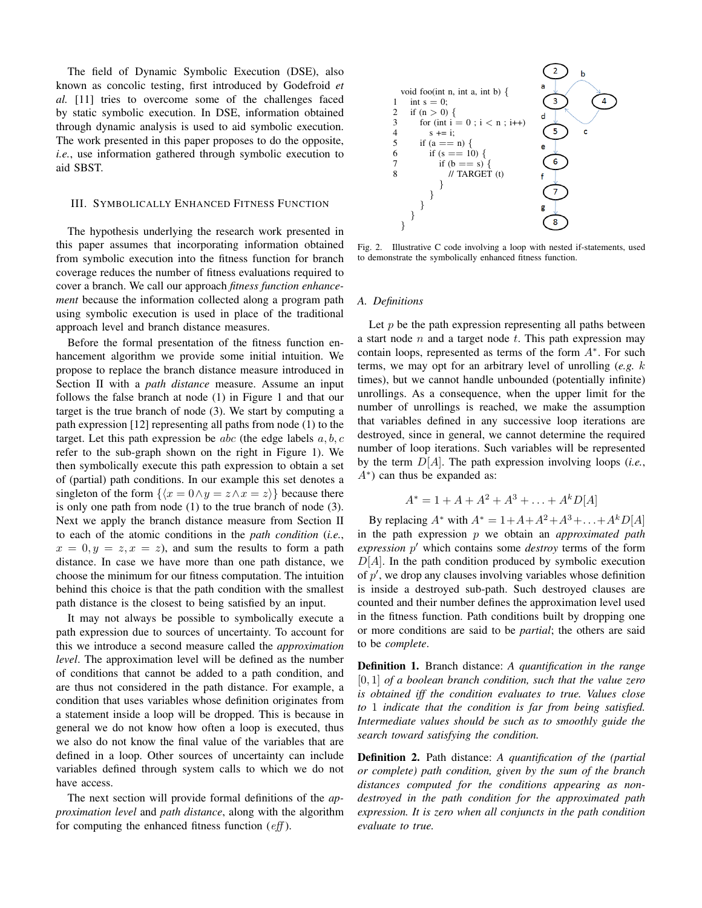The field of Dynamic Symbolic Execution (DSE), also known as concolic testing, first introduced by Godefroid *et al.* [11] tries to overcome some of the challenges faced by static symbolic execution. In DSE, information obtained through dynamic analysis is used to aid symbolic execution. The work presented in this paper proposes to do the opposite, *i.e.*, use information gathered through symbolic execution to aid SBST.

# III. SYMBOLICALLY ENHANCED FITNESS FUNCTION

The hypothesis underlying the research work presented in this paper assumes that incorporating information obtained from symbolic execution into the fitness function for branch coverage reduces the number of fitness evaluations required to cover a branch. We call our approach *fitness function enhancement* because the information collected along a program path using symbolic execution is used in place of the traditional approach level and branch distance measures.

Before the formal presentation of the fitness function enhancement algorithm we provide some initial intuition. We propose to replace the branch distance measure introduced in Section II with a *path distance* measure. Assume an input follows the false branch at node (1) in Figure 1 and that our target is the true branch of node (3). We start by computing a path expression [12] representing all paths from node (1) to the target. Let this path expression be *abc* (the edge labels  $a, b, c$ refer to the sub-graph shown on the right in Figure 1). We then symbolically execute this path expression to obtain a set of (partial) path conditions. In our example this set denotes a singleton of the form  $\{x = 0 \land y = z \land x = z\}$  because there is only one path from node (1) to the true branch of node (3). Next we apply the branch distance measure from Section II to each of the atomic conditions in the *path condition* (*i.e.*,  $x = 0, y = z, x = z$ , and sum the results to form a path distance. In case we have more than one path distance, we choose the minimum for our fitness computation. The intuition behind this choice is that the path condition with the smallest path distance is the closest to being satisfied by an input.

It may not always be possible to symbolically execute a path expression due to sources of uncertainty. To account for this we introduce a second measure called the *approximation level*. The approximation level will be defined as the number of conditions that cannot be added to a path condition, and are thus not considered in the path distance. For example, a condition that uses variables whose definition originates from a statement inside a loop will be dropped. This is because in general we do not know how often a loop is executed, thus we also do not know the final value of the variables that are defined in a loop. Other sources of uncertainty can include variables defined through system calls to which we do not have access.

The next section will provide formal definitions of the *approximation level* and *path distance*, along with the algorithm for computing the enhanced fitness function  $\left(e\ddot{f}\right)$ .



Fig. 2. Illustrative C code involving a loop with nested if-statements, used to demonstrate the symbolically enhanced fitness function.

### *A. Definitions*

Let  $p$  be the path expression representing all paths between a start node  $n$  and a target node  $t$ . This path expression may contain loops, represented as terms of the form  $A^*$ . For such terms, we may opt for an arbitrary level of unrolling (*e.g.* k times), but we cannot handle unbounded (potentially infinite) unrollings. As a consequence, when the upper limit for the number of unrollings is reached, we make the assumption that variables defined in any successive loop iterations are destroyed, since in general, we cannot determine the required number of loop iterations. Such variables will be represented by the term D[A]. The path expression involving loops (*i.e.*, A<sup>∗</sup> ) can thus be expanded as:

$$
A^* = 1 + A + A^2 + A^3 + \ldots + A^k D[A]
$$

By replacing  $A^*$  with  $A^* = 1 + A + A^2 + A^3 + \ldots + A^k D[A]$ in the path expression p we obtain an *approximated path* expression p' which contains some *destroy* terms of the form  $D[A]$ . In the path condition produced by symbolic execution of  $p'$ , we drop any clauses involving variables whose definition is inside a destroyed sub-path. Such destroyed clauses are counted and their number defines the approximation level used in the fitness function. Path conditions built by dropping one or more conditions are said to be *partial*; the others are said to be *complete*.

Definition 1. Branch distance: *A quantification in the range* [0, 1] *of a boolean branch condition, such that the value zero is obtained iff the condition evaluates to true. Values close to* 1 *indicate that the condition is far from being satisfied. Intermediate values should be such as to smoothly guide the search toward satisfying the condition.*

Definition 2. Path distance: *A quantification of the (partial or complete) path condition, given by the sum of the branch distances computed for the conditions appearing as nondestroyed in the path condition for the approximated path expression. It is zero when all conjuncts in the path condition evaluate to true.*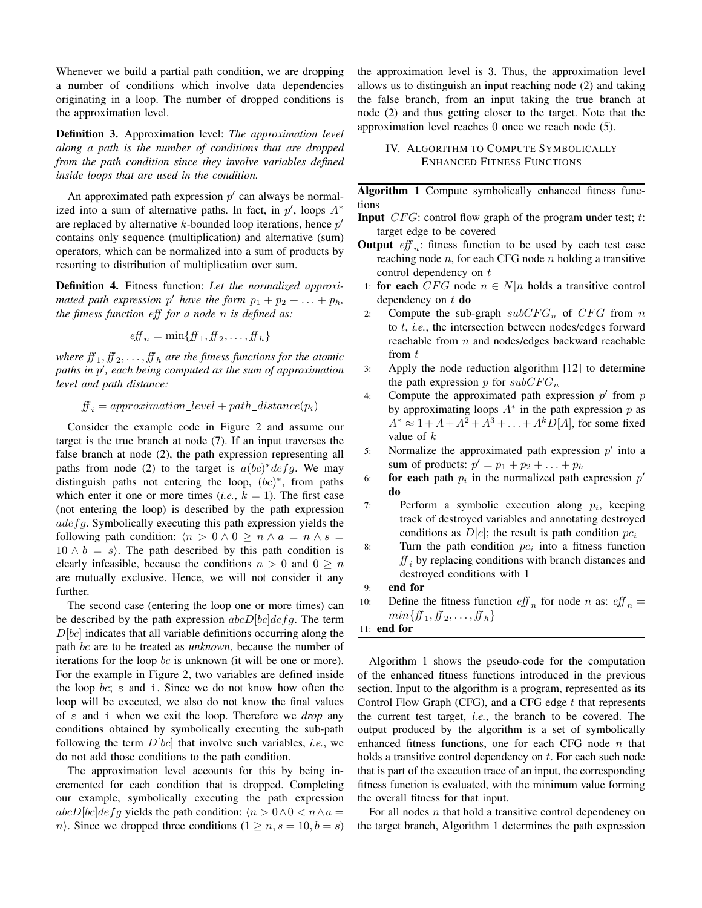Whenever we build a partial path condition, we are dropping a number of conditions which involve data dependencies originating in a loop. The number of dropped conditions is the approximation level.

Definition 3. Approximation level: *The approximation level along a path is the number of conditions that are dropped from the path condition since they involve variables defined inside loops that are used in the condition.*

An approximated path expression  $p'$  can always be normalized into a sum of alternative paths. In fact, in  $p'$ , loops  $A^*$ are replaced by alternative  $k$ -bounded loop iterations, hence  $p'$ contains only sequence (multiplication) and alternative (sum) operators, which can be normalized into a sum of products by resorting to distribution of multiplication over sum.

Definition 4. Fitness function: *Let the normalized approximated path expression*  $p'$  *have the form*  $p_1 + p_2 + \ldots + p_h$ *, the fitness function* eff *for a node* n *is defined as:*

$$
eff_n = \min\{f_1, f_2, \dots, f_{h}\}\
$$

where  $f\!f{}_{1}, f\!f{}_{2}, \ldots, f\!f{}_{h}$  are the fitness functions for the atomic paths in p', each being computed as the sum of approximation *level and path distance:*

$$
f\hspace{-0.1cm}f_i = approximation\_level + path\_distance(p_i)
$$

Consider the example code in Figure 2 and assume our target is the true branch at node (7). If an input traverses the false branch at node (2), the path expression representing all paths from node (2) to the target is  $a(bc)^*defg$ . We may distinguish paths not entering the loop,  $(bc)^*$ , from paths which enter it one or more times  $(i.e., k = 1)$ . The first case (not entering the loop) is described by the path expression  $adefg$ . Symbolically executing this path expression yields the following path condition:  $(n > 0 \land 0 \ge n \land a = n \land s =$  $10 \wedge b = s$ . The path described by this path condition is clearly infeasible, because the conditions  $n > 0$  and  $0 \geq n$ are mutually exclusive. Hence, we will not consider it any further.

The second case (entering the loop one or more times) can be described by the path expression  $abcD[bc]defq$ . The term  $D[bc]$  indicates that all variable definitions occurring along the path bc are to be treated as *unknown*, because the number of iterations for the loop  $bc$  is unknown (it will be one or more). For the example in Figure 2, two variables are defined inside the loop  $bc$ ; s and i. Since we do not know how often the loop will be executed, we also do not know the final values of s and i when we exit the loop. Therefore we *drop* any conditions obtained by symbolically executing the sub-path following the term  $D[bc]$  that involve such variables, *i.e.*, we do not add those conditions to the path condition.

The approximation level accounts for this by being incremented for each condition that is dropped. Completing our example, symbolically executing the path expression  $abcD[bc]defg$  yields the path condition:  $\langle n \rangle 0 \wedge 0 \langle n \rangle a =$  $n$ ). Since we dropped three conditions ( $1 \ge n$ ,  $s = 10$ ,  $b = s$ ) the approximation level is 3. Thus, the approximation level allows us to distinguish an input reaching node (2) and taking the false branch, from an input taking the true branch at node (2) and thus getting closer to the target. Note that the approximation level reaches 0 once we reach node (5).

# IV. ALGORITHM TO COMPUTE SYMBOLICALLY ENHANCED FITNESS FUNCTIONS

Algorithm 1 Compute symbolically enhanced fitness functions

- **Input** CFG: control flow graph of the program under test;  $t$ : target edge to be covered
- **Output**  $eff_n$ : fitness function to be used by each test case reaching node  $n$ , for each CFG node  $n$  holding a transitive control dependency on t
- 1: for each CFG node  $n \in N|n$  holds a transitive control dependency on  $t$  do
- 2: Compute the sub-graph  $subCFG_n$  of  $CFG$  from n to t, *i.e.*, the intersection between nodes/edges forward reachable from  $n$  and nodes/edges backward reachable from  $t$
- 3: Apply the node reduction algorithm [12] to determine the path expression p for  $subCFG_n$
- 4: Compute the approximated path expression  $p'$  from  $p$ by approximating loops  $A^*$  in the path expression  $p$  as  $A^* \approx 1 + A + A^2 + A^3 + \ldots + A^k D[A]$ , for some fixed value of  $k$
- 5: Normalize the approximated path expression  $p'$  into a sum of products:  $p' = p_1 + p_2 + \ldots + p_h$
- 6: **for each** path  $p_i$  in the normalized path expression  $p'$ do
- 7: Perform a symbolic execution along  $p_i$ , keeping track of destroyed variables and annotating destroyed conditions as  $D[c]$ ; the result is path condition  $pc<sub>i</sub>$
- 8: Turn the path condition  $pc<sub>i</sub>$  into a fitness function  $f_i$  by replacing conditions with branch distances and destroyed conditions with 1
- 9: end for
- 10: Define the fitness function  $\operatorname{eff}_n$  for node n as:  $\operatorname{eff}_n =$  $min{f_1, f_2, \ldots, f_{h}}$

11: end for

Algorithm 1 shows the pseudo-code for the computation of the enhanced fitness functions introduced in the previous section. Input to the algorithm is a program, represented as its Control Flow Graph (CFG), and a CFG edge  $t$  that represents the current test target, *i.e.*, the branch to be covered. The output produced by the algorithm is a set of symbolically enhanced fitness functions, one for each CFG node  $n$  that holds a transitive control dependency on  $t$ . For each such node that is part of the execution trace of an input, the corresponding fitness function is evaluated, with the minimum value forming the overall fitness for that input.

For all nodes  $n$  that hold a transitive control dependency on the target branch, Algorithm 1 determines the path expression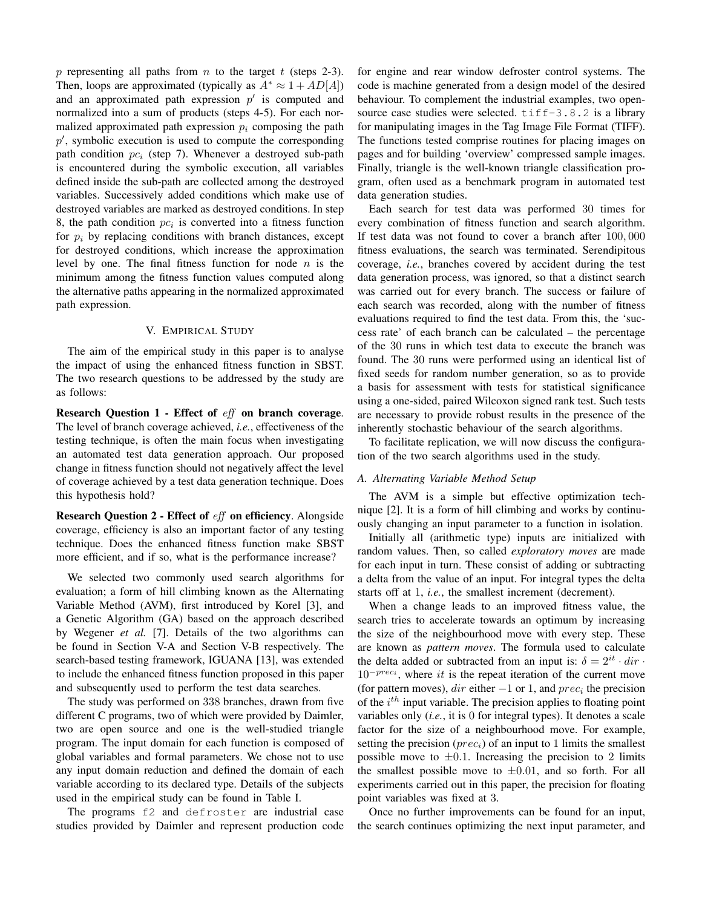p representing all paths from n to the target t (steps 2-3). Then, loops are approximated (typically as  $A^* \approx 1 + AD[A]$ ) and an approximated path expression  $p'$  is computed and normalized into a sum of products (steps 4-5). For each normalized approximated path expression  $p_i$  composing the path  $p'$ , symbolic execution is used to compute the corresponding path condition  $pc_i$  (step 7). Whenever a destroyed sub-path is encountered during the symbolic execution, all variables defined inside the sub-path are collected among the destroyed variables. Successively added conditions which make use of destroyed variables are marked as destroyed conditions. In step 8, the path condition  $pc<sub>i</sub>$  is converted into a fitness function for  $p_i$  by replacing conditions with branch distances, except for destroyed conditions, which increase the approximation level by one. The final fitness function for node  $n$  is the minimum among the fitness function values computed along the alternative paths appearing in the normalized approximated path expression.

# V. EMPIRICAL STUDY

The aim of the empirical study in this paper is to analyse the impact of using the enhanced fitness function in SBST. The two research questions to be addressed by the study are as follows:

Research Question 1 - Effect of eff on branch coverage. The level of branch coverage achieved, *i.e.*, effectiveness of the testing technique, is often the main focus when investigating an automated test data generation approach. Our proposed change in fitness function should not negatively affect the level of coverage achieved by a test data generation technique. Does this hypothesis hold?

Research Question 2 - Effect of *eff* on efficiency. Alongside coverage, efficiency is also an important factor of any testing technique. Does the enhanced fitness function make SBST more efficient, and if so, what is the performance increase?

We selected two commonly used search algorithms for evaluation; a form of hill climbing known as the Alternating Variable Method (AVM), first introduced by Korel [3], and a Genetic Algorithm (GA) based on the approach described by Wegener *et al.* [7]. Details of the two algorithms can be found in Section V-A and Section V-B respectively. The search-based testing framework, IGUANA [13], was extended to include the enhanced fitness function proposed in this paper and subsequently used to perform the test data searches.

The study was performed on 338 branches, drawn from five different C programs, two of which were provided by Daimler, two are open source and one is the well-studied triangle program. The input domain for each function is composed of global variables and formal parameters. We chose not to use any input domain reduction and defined the domain of each variable according to its declared type. Details of the subjects used in the empirical study can be found in Table I.

The programs f2 and defroster are industrial case studies provided by Daimler and represent production code for engine and rear window defroster control systems. The code is machine generated from a design model of the desired behaviour. To complement the industrial examples, two opensource case studies were selected. tiff-3.8.2 is a library for manipulating images in the Tag Image File Format (TIFF). The functions tested comprise routines for placing images on pages and for building 'overview' compressed sample images. Finally, triangle is the well-known triangle classification program, often used as a benchmark program in automated test data generation studies.

Each search for test data was performed 30 times for every combination of fitness function and search algorithm. If test data was not found to cover a branch after 100, 000 fitness evaluations, the search was terminated. Serendipitous coverage, *i.e.*, branches covered by accident during the test data generation process, was ignored, so that a distinct search was carried out for every branch. The success or failure of each search was recorded, along with the number of fitness evaluations required to find the test data. From this, the 'success rate' of each branch can be calculated – the percentage of the 30 runs in which test data to execute the branch was found. The 30 runs were performed using an identical list of fixed seeds for random number generation, so as to provide a basis for assessment with tests for statistical significance using a one-sided, paired Wilcoxon signed rank test. Such tests are necessary to provide robust results in the presence of the inherently stochastic behaviour of the search algorithms.

To facilitate replication, we will now discuss the configuration of the two search algorithms used in the study.

# *A. Alternating Variable Method Setup*

The AVM is a simple but effective optimization technique [2]. It is a form of hill climbing and works by continuously changing an input parameter to a function in isolation.

Initially all (arithmetic type) inputs are initialized with random values. Then, so called *exploratory moves* are made for each input in turn. These consist of adding or subtracting a delta from the value of an input. For integral types the delta starts off at 1, *i.e.*, the smallest increment (decrement).

When a change leads to an improved fitness value, the search tries to accelerate towards an optimum by increasing the size of the neighbourhood move with every step. These are known as *pattern moves*. The formula used to calculate the delta added or subtracted from an input is:  $\delta = 2^{it} \cdot dir \cdot$  $10^{-prec_i}$ , where it is the repeat iteration of the current move (for pattern moves),  $dir$  either  $-1$  or 1, and  $prec_i$  the precision of the  $i^{th}$  input variable. The precision applies to floating point variables only (*i.e.*, it is 0 for integral types). It denotes a scale factor for the size of a neighbourhood move. For example, setting the precision ( $prec_i$ ) of an input to 1 limits the smallest possible move to  $\pm 0.1$ . Increasing the precision to 2 limits the smallest possible move to  $\pm 0.01$ , and so forth. For all experiments carried out in this paper, the precision for floating point variables was fixed at 3.

Once no further improvements can be found for an input, the search continues optimizing the next input parameter, and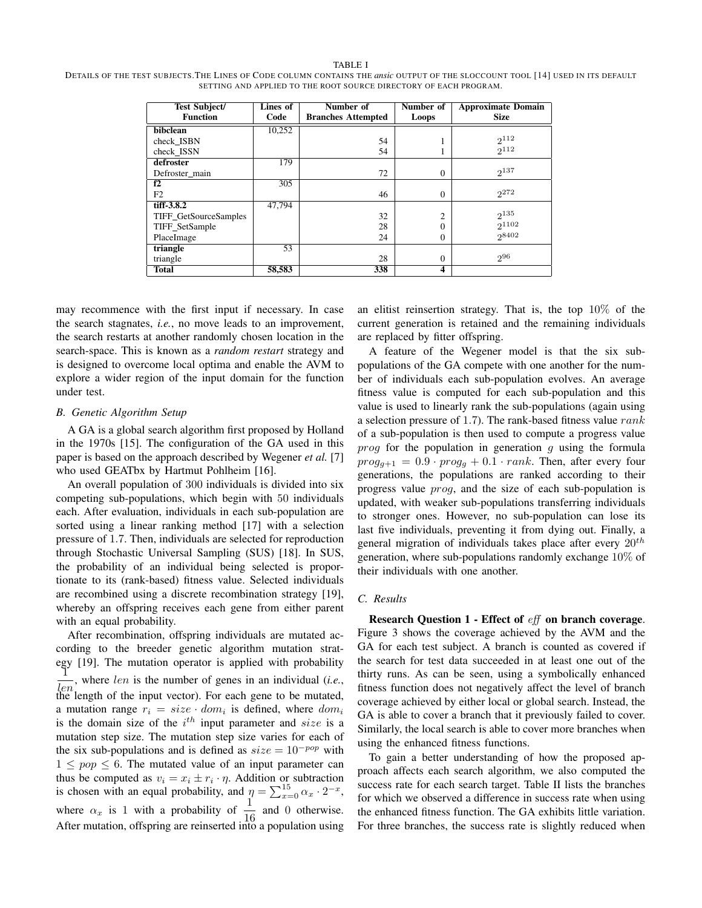#### TABLE I DETAILS OF THE TEST SUBJECTS.THE LINES OF CODE COLUMN CONTAINS THE *ansic* OUTPUT OF THE SLOCCOUNT TOOL [14] USED IN ITS DEFAULT SETTING AND APPLIED TO THE ROOT SOURCE DIRECTORY OF EACH PROGRAM.

| <b>Test Subject/</b><br><b>Function</b> | Lines of<br>Code | Number of<br><b>Branches Attempted</b> | Number of<br>Loops | <b>Approximate Domain</b><br><b>Size</b> |
|-----------------------------------------|------------------|----------------------------------------|--------------------|------------------------------------------|
| bibclean                                | 10,252           |                                        |                    |                                          |
| check ISBN                              |                  | 54                                     |                    | 2112                                     |
| check ISSN                              |                  | 54                                     |                    | 2112                                     |
| defroster                               | 179              |                                        |                    |                                          |
| Defroster main                          |                  | 72                                     | $\mathbf{0}$       | $2^{137}$                                |
| f2                                      | 305              |                                        |                    |                                          |
| F <sub>2</sub>                          |                  | 46                                     | $\Omega$           | $2^{272}$                                |
| tiff-3.8.2                              | 47.794           |                                        |                    |                                          |
| <b>TIFF</b> GetSourceSamples            |                  | 32                                     | $\overline{2}$     | $2^{135}$                                |
| TIFF_SetSample                          |                  | 28                                     | 0                  | $2^{1102}$                               |
| PlaceImage                              |                  | 24                                     | $\theta$           | 28402                                    |
| triangle                                | 53               |                                        |                    |                                          |
| triangle                                |                  | 28                                     | $\mathbf{0}$       | $2^{96}$                                 |
| Total                                   | 58,583           | 338                                    | 4                  |                                          |

may recommence with the first input if necessary. In case the search stagnates, *i.e.*, no move leads to an improvement, the search restarts at another randomly chosen location in the search-space. This is known as a *random restart* strategy and is designed to overcome local optima and enable the AVM to explore a wider region of the input domain for the function under test.

#### *B. Genetic Algorithm Setup*

A GA is a global search algorithm first proposed by Holland in the 1970s [15]. The configuration of the GA used in this paper is based on the approach described by Wegener *et al.* [7] who used GEATbx by Hartmut Pohlheim [16].

An overall population of 300 individuals is divided into six competing sub-populations, which begin with 50 individuals each. After evaluation, individuals in each sub-population are sorted using a linear ranking method [17] with a selection pressure of 1.7. Then, individuals are selected for reproduction through Stochastic Universal Sampling (SUS) [18]. In SUS, the probability of an individual being selected is proportionate to its (rank-based) fitness value. Selected individuals are recombined using a discrete recombination strategy [19], whereby an offspring receives each gene from either parent with an equal probability.

After recombination, offspring individuals are mutated according to the breeder genetic algorithm mutation strategy [19]. The mutation operator is applied with probability 1  $\frac{1}{len}$ , where *len* is the number of genes in an individual *(i.e.*, the length of the input vector). For each gene to be mutated, a mutation range  $r_i = size \cdot dom_i$  is defined, where  $dom_i$ is the domain size of the  $i<sup>th</sup>$  input parameter and size is a mutation step size. The mutation step size varies for each of the six sub-populations and is defined as  $size = 10^{-pop}$  with  $1 \leq pop \leq 6$ . The mutated value of an input parameter can thus be computed as  $v_i = x_i \pm r_i \cdot \eta$ . Addition or subtraction is chosen with an equal probability, and  $\eta = \sum_{x=0}^{15} \alpha_x \cdot 2^{-x}$ , where  $\alpha_x$  is 1 with a probability of  $\frac{1}{16}$  and 0 otherwise. After mutation, offspring are reinserted into a population using an elitist reinsertion strategy. That is, the top 10% of the current generation is retained and the remaining individuals are replaced by fitter offspring.

A feature of the Wegener model is that the six subpopulations of the GA compete with one another for the number of individuals each sub-population evolves. An average fitness value is computed for each sub-population and this value is used to linearly rank the sub-populations (again using a selection pressure of 1.7). The rank-based fitness value  $rank$ of a sub-population is then used to compute a progress value  $prog$  for the population in generation  $g$  using the formula  $prog_{q+1} = 0.9 \cdot prog_q + 0.1 \cdot rank$ . Then, after every four generations, the populations are ranked according to their progress value prog, and the size of each sub-population is updated, with weaker sub-populations transferring individuals to stronger ones. However, no sub-population can lose its last five individuals, preventing it from dying out. Finally, a general migration of individuals takes place after every  $20^{th}$ generation, where sub-populations randomly exchange  $10\%$  of their individuals with one another.

# *C. Results*

Research Question 1 - Effect of eff on branch coverage. Figure 3 shows the coverage achieved by the AVM and the GA for each test subject. A branch is counted as covered if the search for test data succeeded in at least one out of the thirty runs. As can be seen, using a symbolically enhanced fitness function does not negatively affect the level of branch coverage achieved by either local or global search. Instead, the GA is able to cover a branch that it previously failed to cover. Similarly, the local search is able to cover more branches when using the enhanced fitness functions.

To gain a better understanding of how the proposed approach affects each search algorithm, we also computed the success rate for each search target. Table II lists the branches for which we observed a difference in success rate when using the enhanced fitness function. The GA exhibits little variation. For three branches, the success rate is slightly reduced when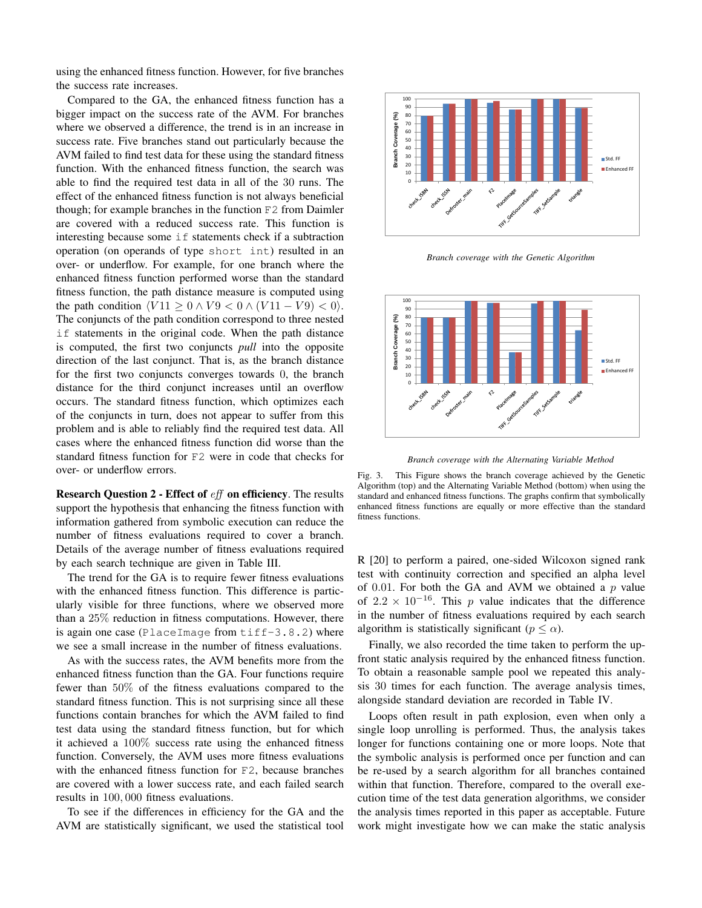using the enhanced fitness function. However, for five branches the success rate increases.

Compared to the GA, the enhanced fitness function has a bigger impact on the success rate of the AVM. For branches where we observed a difference, the trend is in an increase in success rate. Five branches stand out particularly because the AVM failed to find test data for these using the standard fitness function. With the enhanced fitness function, the search was able to find the required test data in all of the 30 runs. The effect of the enhanced fitness function is not always beneficial though; for example branches in the function F2 from Daimler are covered with a reduced success rate. This function is interesting because some if statements check if a subtraction operation (on operands of type short int) resulted in an over- or underflow. For example, for one branch where the enhanced fitness function performed worse than the standard fitness function, the path distance measure is computed using the path condition  $\langle V11 \rangle 0 \wedge V9 < 0 \wedge (V11 - V9) < 0$ . The conjuncts of the path condition correspond to three nested if statements in the original code. When the path distance is computed, the first two conjuncts *pull* into the opposite direction of the last conjunct. That is, as the branch distance for the first two conjuncts converges towards 0, the branch distance for the third conjunct increases until an overflow occurs. The standard fitness function, which optimizes each of the conjuncts in turn, does not appear to suffer from this problem and is able to reliably find the required test data. All cases where the enhanced fitness function did worse than the standard fitness function for F2 were in code that checks for over- or underflow errors.

Research Question 2 - Effect of *eff* on efficiency. The results support the hypothesis that enhancing the fitness function with information gathered from symbolic execution can reduce the number of fitness evaluations required to cover a branch. Details of the average number of fitness evaluations required by each search technique are given in Table III.

The trend for the GA is to require fewer fitness evaluations with the enhanced fitness function. This difference is particularly visible for three functions, where we observed more than a 25% reduction in fitness computations. However, there is again one case (PlaceImage from  $\text{tff-3.8.2}$ ) where we see a small increase in the number of fitness evaluations.

As with the success rates, the AVM benefits more from the enhanced fitness function than the GA. Four functions require fewer than 50% of the fitness evaluations compared to the standard fitness function. This is not surprising since all these functions contain branches for which the AVM failed to find test data using the standard fitness function, but for which it achieved a 100% success rate using the enhanced fitness function. Conversely, the AVM uses more fitness evaluations with the enhanced fitness function for F2, because branches are covered with a lower success rate, and each failed search results in 100, 000 fitness evaluations.

To see if the differences in efficiency for the GA and the AVM are statistically significant, we used the statistical tool



*Branch coverage with the Genetic Algorithm*



*Branch coverage with the Alternating Variable Method*

Fig. 3. This Figure shows the branch coverage achieved by the Genetic Algorithm (top) and the Alternating Variable Method (bottom) when using the standard and enhanced fitness functions. The graphs confirm that symbolically enhanced fitness functions are equally or more effective than the standard fitness functions.

R [20] to perform a paired, one-sided Wilcoxon signed rank test with continuity correction and specified an alpha level of 0.01. For both the GA and AVM we obtained a  $p$  value of  $2.2 \times 10^{-16}$ . This p value indicates that the difference in the number of fitness evaluations required by each search algorithm is statistically significant ( $p \leq \alpha$ ).

Finally, we also recorded the time taken to perform the upfront static analysis required by the enhanced fitness function. To obtain a reasonable sample pool we repeated this analysis 30 times for each function. The average analysis times, alongside standard deviation are recorded in Table IV.

Loops often result in path explosion, even when only a single loop unrolling is performed. Thus, the analysis takes longer for functions containing one or more loops. Note that the symbolic analysis is performed once per function and can be re-used by a search algorithm for all branches contained within that function. Therefore, compared to the overall execution time of the test data generation algorithms, we consider the analysis times reported in this paper as acceptable. Future work might investigate how we can make the static analysis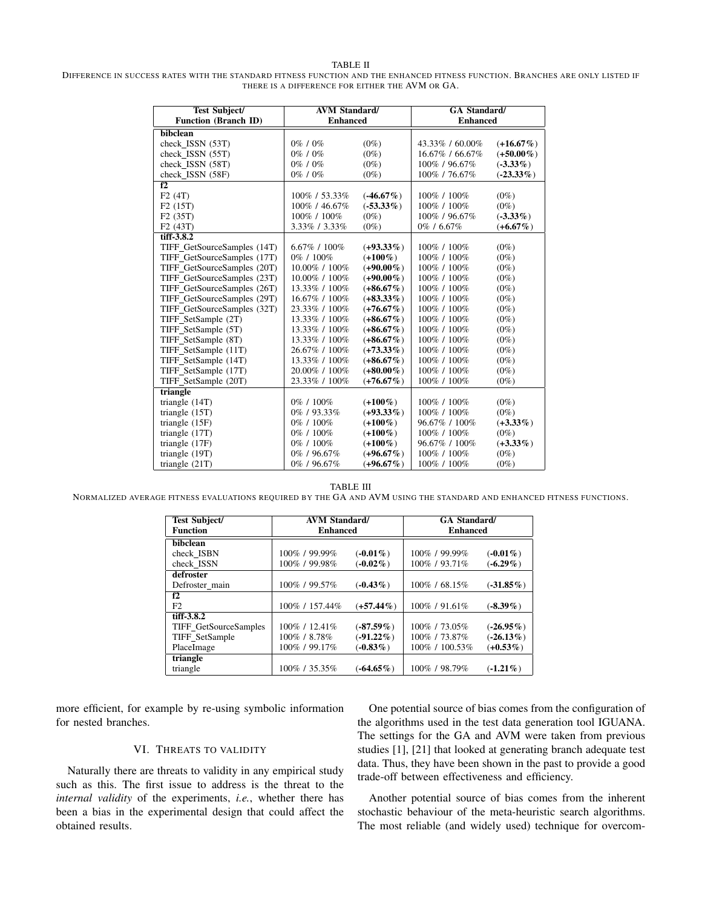# TABLE II

| DIFFERENCE IN SUCCESS RATES WITH THE STANDARD FITNESS FUNCTION AND THE ENHANCED FITNESS FUNCTION. BRANCHES ARE ONLY LISTED IF |
|-------------------------------------------------------------------------------------------------------------------------------|
| THERE IS A DIFFERENCE FOR EITHER THE AVM OR GA.                                                                               |

| <b>Test Subject/</b>        |                                         |              |                                        |              |
|-----------------------------|-----------------------------------------|--------------|----------------------------------------|--------------|
| <b>Function (Branch ID)</b> | <b>AVM Standard/</b><br><b>Enhanced</b> |              | <b>GA</b> Standard/<br><b>Enhanced</b> |              |
|                             |                                         |              |                                        |              |
| bibclean                    |                                         |              |                                        |              |
| check ISSN (53T)            | $0\%$ / $0\%$                           | $(0\%)$      | 43.33% / 60.00%                        | $(+16.67\%)$ |
| check ISSN (55T)            | $0\%$ / $0\%$                           | $(0\%)$      | 16.67% / 66.67%                        | $(+50.00\%)$ |
| check ISSN (58T)            | $0\%$ / $0\%$                           | $(0\%)$      | 100% / 96.67%                          | $(-3.33\%)$  |
| check ISSN (58F)            | $0\%$ / $0\%$                           | $(0\%)$      | 100% / 76.67%                          | $(-23.33\%)$ |
| f2                          |                                         |              |                                        |              |
| F2(4T)                      | 100% / 53.33%                           | $(-46.67\%)$ | 100% / 100%                            | $(0\%)$      |
| F2(15T)                     | 100% / 46.67%                           | $(-53.33\%)$ | 100% / 100%                            | $(0\%)$      |
| F <sub>2</sub> (35T)        | 100% / 100%                             | $(0\%)$      | 100% / 96.67%                          | $(-3.33\%)$  |
| F2(43T)                     | 3.33% / 3.33%                           | $(0\%)$      | 0% / 6.67%                             | $(+6.67\%)$  |
| tiff-3.8.2                  |                                         |              |                                        |              |
| TIFF_GetSourceSamples (14T) | 6.67% / 100%                            | $(+93.33\%)$ | 100% / 100%                            | $(0\%)$      |
| TIFF_GetSourceSamples (17T) | 0\% / 100\%                             | $(+100\%)$   | 100% / 100%                            | $(0\%)$      |
| TIFF_GetSourceSamples (20T) | 10.00% / 100%                           | $(+90.00\%)$ | 100% / 100%                            | $(0\%)$      |
| TIFF_GetSourceSamples (23T) | 10.00% / 100%                           | $(+90.00\%)$ | 100% / 100%                            | $(0\%)$      |
| TIFF GetSourceSamples (26T) | 13.33% / 100%                           | $(+86.67\%)$ | 100% / 100%                            | $(0\%)$      |
| TIFF GetSourceSamples (29T) | 16.67% / 100%                           | $(+83.33\%)$ | 100% / 100%                            | $(0\%)$      |
| TIFF GetSourceSamples (32T) | 23.33% / 100%                           | $(+76.67\%)$ | 100% / 100%                            | $(0\%)$      |
| TIFF_SetSample (2T)         | 13.33% / 100%                           | $(+86.67\%)$ | 100% / 100%                            | $(0\%)$      |
| TIFF_SetSample (5T)         | 13.33% / 100%                           | $(+86.67\%)$ | 100% / 100%                            | $(0\%)$      |
| TIFF_SetSample (8T)         | 13.33% / 100%                           | $(+86.67\%)$ | 100% / 100%                            | $(0\%)$      |
| TIFF_SetSample (11T)        | 26.67% / 100%                           | $(+73.33\%)$ | 100% / 100%                            | $(0\%)$      |
| TIFF_SetSample (14T)        | 13.33% / 100%                           | $(+86.67\%)$ | 100% / 100%                            | $(0\%)$      |
| TIFF_SetSample (17T)        | 20.00% / 100%                           | $(+80.00\%)$ | 100% / 100%                            | $(0\%)$      |
| TIFF_SetSample (20T)        | 23.33% / 100%                           | $(+76.67\%)$ | 100% / 100%                            | $(0\%)$      |
| triangle                    |                                         |              |                                        |              |
| triangle $(14T)$            | 0% / 100%                               | $(+100\%)$   | 100% / 100%                            | $(0\%)$      |
| triangle (15T)              | 0%/93.33%                               | $(+93.33\%)$ | 100% / 100%                            | $(0\%)$      |
| triangle $(15F)$            | 0\% / 100\%                             | $(+100\%)$   | 96.67% / 100%                          | $(+3.33\%)$  |
| triangle $(17T)$            | 0%/100%                                 | $(+100\%)$   | 100% / 100%                            | $(0\%)$      |
| triangle (17F)              | 0% / 100%                               | $(+100\%)$   | 96.67% / 100%                          | $(+3.33\%)$  |
| triangle (19T)              | 0%/96.67%                               | $(+96.67\%)$ | 100% / 100%                            | $(0\%)$      |
| triangle $(21T)$            | 0%/96.67%                               | $(+96.67\%)$ | 100% / 100%                            | $(0\%)$      |

TABLE III

NORMALIZED AVERAGE FITNESS EVALUATIONS REQUIRED BY THE GA AND AVM USING THE STANDARD AND ENHANCED FITNESS FUNCTIONS.

| <b>Test Subject/</b>  | <b>AVM Standard/</b> |              | GA Standard/    |              |
|-----------------------|----------------------|--------------|-----------------|--------------|
| <b>Function</b>       | <b>Enhanced</b>      |              | <b>Enhanced</b> |              |
| <b>bibclean</b>       |                      |              |                 |              |
| check ISBN            | 100% / 99.99%        | $(-0.01\%)$  | 100% / 99.99%   | $(-0.01\%)$  |
| check ISSN            | 100% / 99.98%        | $(-0.02\%)$  | 100% / 93.71%   | $(-6.29\%)$  |
| defroster             |                      |              |                 |              |
| Defroster main        | 100% / 99.57%        | $(-0.43\%)$  | 100% / 68.15%   | $(-31.85\%)$ |
| f2                    |                      |              |                 |              |
| F2                    | 100% / 157.44%       | $(+57.44\%)$ | 100% / 91.61%   | $(-8.39\%)$  |
| $t$ iff-3.8.2         |                      |              |                 |              |
| TIFF GetSourceSamples | 100% / 12.41%        | $(-87.59\%)$ | 100% / 73.05%   | $(-26.95\%)$ |
| TIFF SetSample        | 100% / 8.78%         | $(-91.22\%)$ | 100% / 73.87%   | $(-26.13\%)$ |
| PlaceImage            | 100% / 99.17%        | $(-0.83\%)$  | 100% / 100.53%  | $(+0.53\%)$  |
| triangle              |                      |              |                 |              |
| triangle              | 100% / 35.35%        | $(-64.65\%)$ | 100% / 98.79%   | $(-1.21\%)$  |

more efficient, for example by re-using symbolic information for nested branches.

# VI. THREATS TO VALIDITY

Naturally there are threats to validity in any empirical study such as this. The first issue to address is the threat to the *internal validity* of the experiments, *i.e.*, whether there has been a bias in the experimental design that could affect the obtained results.

One potential source of bias comes from the configuration of the algorithms used in the test data generation tool IGUANA. The settings for the GA and AVM were taken from previous studies [1], [21] that looked at generating branch adequate test data. Thus, they have been shown in the past to provide a good trade-off between effectiveness and efficiency.

Another potential source of bias comes from the inherent stochastic behaviour of the meta-heuristic search algorithms. The most reliable (and widely used) technique for overcom-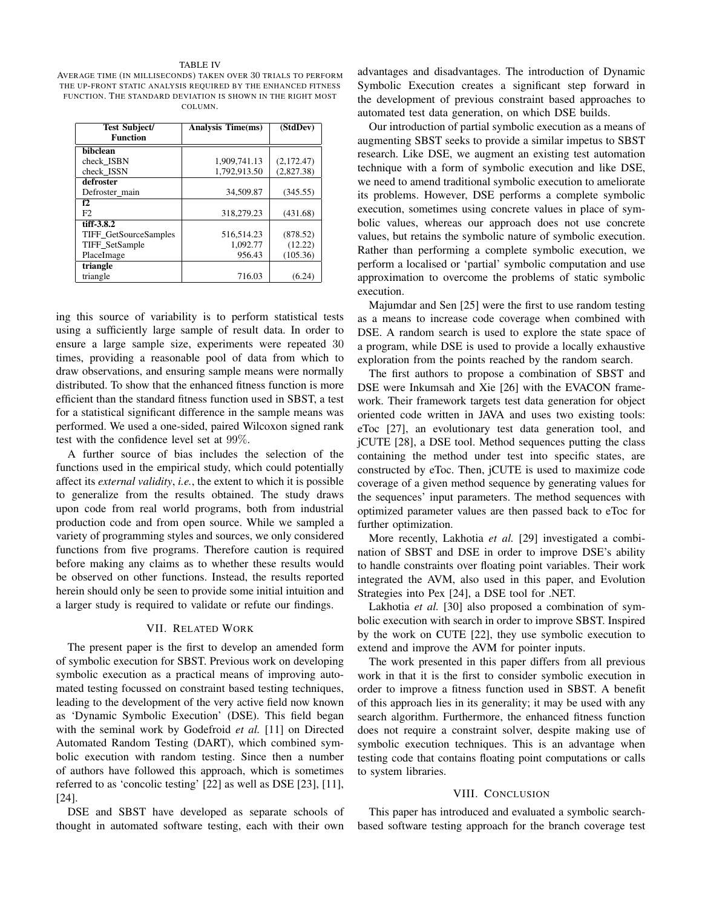#### TABLE IV

AVERAGE TIME (IN MILLISECONDS) TAKEN OVER 30 TRIALS TO PERFORM THE UP-FRONT STATIC ANALYSIS REQUIRED BY THE ENHANCED FITNESS FUNCTION. THE STANDARD DEVIATION IS SHOWN IN THE RIGHT MOST COLUMN.

| <b>Test Subject/</b>         | <b>Analysis Time(ms)</b> | (StdDev)   |
|------------------------------|--------------------------|------------|
| <b>Function</b>              |                          |            |
| bibclean                     |                          |            |
| check ISBN                   | 1,909,741.13             | (2,172.47) |
| check ISSN                   | 1,792,913.50             | (2,827.38) |
| defroster                    |                          |            |
| Defroster main               | 34,509.87                | (345.55)   |
| f2                           |                          |            |
| F <sub>2</sub>               | 318,279.23               | (431.68)   |
| tiff $3.8.2$                 |                          |            |
| <b>TIFF</b> GetSourceSamples | 516.514.23               | (878.52)   |
| TIFF SetSample               | 1.092.77                 | (12.22)    |
| PlaceImage                   | 956.43                   | (105.36)   |
| triangle                     |                          |            |
| triangle                     | 716.03                   | (6.24      |

ing this source of variability is to perform statistical tests using a sufficiently large sample of result data. In order to ensure a large sample size, experiments were repeated 30 times, providing a reasonable pool of data from which to draw observations, and ensuring sample means were normally distributed. To show that the enhanced fitness function is more efficient than the standard fitness function used in SBST, a test for a statistical significant difference in the sample means was performed. We used a one-sided, paired Wilcoxon signed rank test with the confidence level set at 99%.

A further source of bias includes the selection of the functions used in the empirical study, which could potentially affect its *external validity*, *i.e.*, the extent to which it is possible to generalize from the results obtained. The study draws upon code from real world programs, both from industrial production code and from open source. While we sampled a variety of programming styles and sources, we only considered functions from five programs. Therefore caution is required before making any claims as to whether these results would be observed on other functions. Instead, the results reported herein should only be seen to provide some initial intuition and a larger study is required to validate or refute our findings.

#### VII. RELATED WORK

The present paper is the first to develop an amended form of symbolic execution for SBST. Previous work on developing symbolic execution as a practical means of improving automated testing focussed on constraint based testing techniques, leading to the development of the very active field now known as 'Dynamic Symbolic Execution' (DSE). This field began with the seminal work by Godefroid *et al.* [11] on Directed Automated Random Testing (DART), which combined symbolic execution with random testing. Since then a number of authors have followed this approach, which is sometimes referred to as 'concolic testing' [22] as well as DSE [23], [11], [24].

DSE and SBST have developed as separate schools of thought in automated software testing, each with their own

advantages and disadvantages. The introduction of Dynamic Symbolic Execution creates a significant step forward in the development of previous constraint based approaches to automated test data generation, on which DSE builds.

Our introduction of partial symbolic execution as a means of augmenting SBST seeks to provide a similar impetus to SBST research. Like DSE, we augment an existing test automation technique with a form of symbolic execution and like DSE, we need to amend traditional symbolic execution to ameliorate its problems. However, DSE performs a complete symbolic execution, sometimes using concrete values in place of symbolic values, whereas our approach does not use concrete values, but retains the symbolic nature of symbolic execution. Rather than performing a complete symbolic execution, we perform a localised or 'partial' symbolic computation and use approximation to overcome the problems of static symbolic execution.

Majumdar and Sen [25] were the first to use random testing as a means to increase code coverage when combined with DSE. A random search is used to explore the state space of a program, while DSE is used to provide a locally exhaustive exploration from the points reached by the random search.

The first authors to propose a combination of SBST and DSE were Inkumsah and Xie [26] with the EVACON framework. Their framework targets test data generation for object oriented code written in JAVA and uses two existing tools: eToc [27], an evolutionary test data generation tool, and jCUTE [28], a DSE tool. Method sequences putting the class containing the method under test into specific states, are constructed by eToc. Then, jCUTE is used to maximize code coverage of a given method sequence by generating values for the sequences' input parameters. The method sequences with optimized parameter values are then passed back to eToc for further optimization.

More recently, Lakhotia *et al.* [29] investigated a combination of SBST and DSE in order to improve DSE's ability to handle constraints over floating point variables. Their work integrated the AVM, also used in this paper, and Evolution Strategies into Pex [24], a DSE tool for .NET.

Lakhotia *et al.* [30] also proposed a combination of symbolic execution with search in order to improve SBST. Inspired by the work on CUTE [22], they use symbolic execution to extend and improve the AVM for pointer inputs.

The work presented in this paper differs from all previous work in that it is the first to consider symbolic execution in order to improve a fitness function used in SBST. A benefit of this approach lies in its generality; it may be used with any search algorithm. Furthermore, the enhanced fitness function does not require a constraint solver, despite making use of symbolic execution techniques. This is an advantage when testing code that contains floating point computations or calls to system libraries.

# VIII. CONCLUSION

This paper has introduced and evaluated a symbolic searchbased software testing approach for the branch coverage test